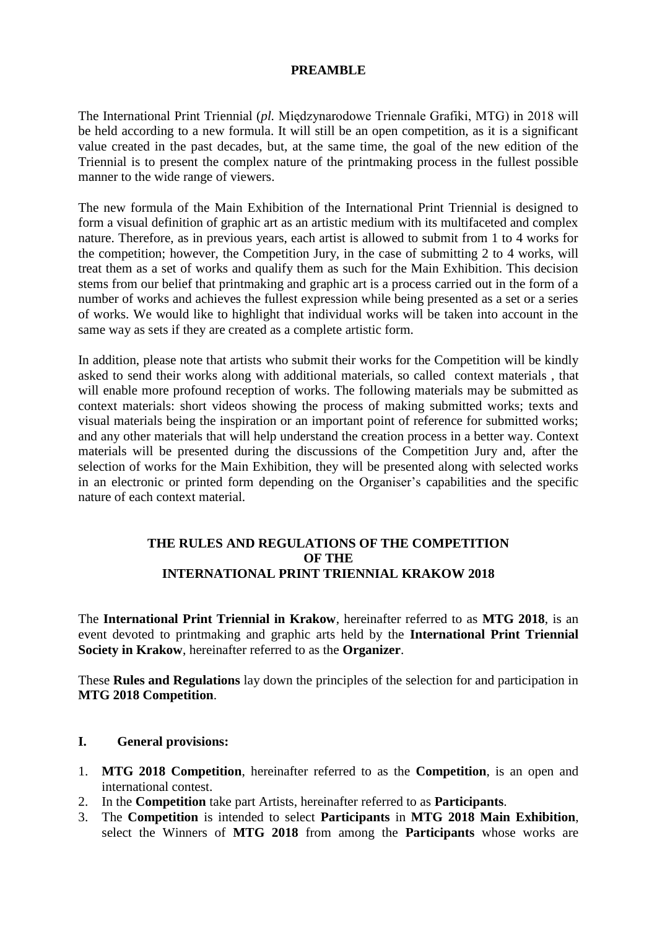# **PREAMBLE**

The International Print Triennial (*pl.* Międzynarodowe Triennale Grafiki, MTG) in 2018 will be held according to a new formula. It will still be an open competition, as it is a significant value created in the past decades, but, at the same time, the goal of the new edition of the Triennial is to present the complex nature of the printmaking process in the fullest possible manner to the wide range of viewers.

The new formula of the Main Exhibition of the International Print Triennial is designed to form a visual definition of graphic art as an artistic medium with its multifaceted and complex nature. Therefore, as in previous years, each artist is allowed to submit from 1 to 4 works for the competition; however, the Competition Jury, in the case of submitting 2 to 4 works, will treat them as a set of works and qualify them as such for the Main Exhibition. This decision stems from our belief that printmaking and graphic art is a process carried out in the form of a number of works and achieves the fullest expression while being presented as a set or a series of works. We would like to highlight that individual works will be taken into account in the same way as sets if they are created as a complete artistic form.

In addition, please note that artists who submit their works for the Competition will be kindly asked to send their works along with additional materials, so called context materials , that will enable more profound reception of works. The following materials may be submitted as context materials: short videos showing the process of making submitted works; texts and visual materials being the inspiration or an important point of reference for submitted works; and any other materials that will help understand the creation process in a better way. Context materials will be presented during the discussions of the Competition Jury and, after the selection of works for the Main Exhibition, they will be presented along with selected works in an electronic or printed form depending on the Organiser's capabilities and the specific nature of each context material.

# **THE RULES AND REGULATIONS OF THE COMPETITION OF THE INTERNATIONAL PRINT TRIENNIAL KRAKOW 2018**

The **International Print Triennial in Krakow**, hereinafter referred to as **MTG 2018**, is an event devoted to printmaking and graphic arts held by the **International Print Triennial Society in Krakow**, hereinafter referred to as the **Organizer**.

These **Rules and Regulations** lay down the principles of the selection for and participation in **MTG 2018 Competition**.

### **I. General provisions:**

- 1. **MTG 2018 Competition**, hereinafter referred to as the **Competition**, is an open and international contest.
- 2. In the **Competition** take part Artists, hereinafter referred to as **Participants**.
- 3. The **Competition** is intended to select **Participants** in **MTG 2018 Main Exhibition**, select the Winners of **MTG 2018** from among the **Participants** whose works are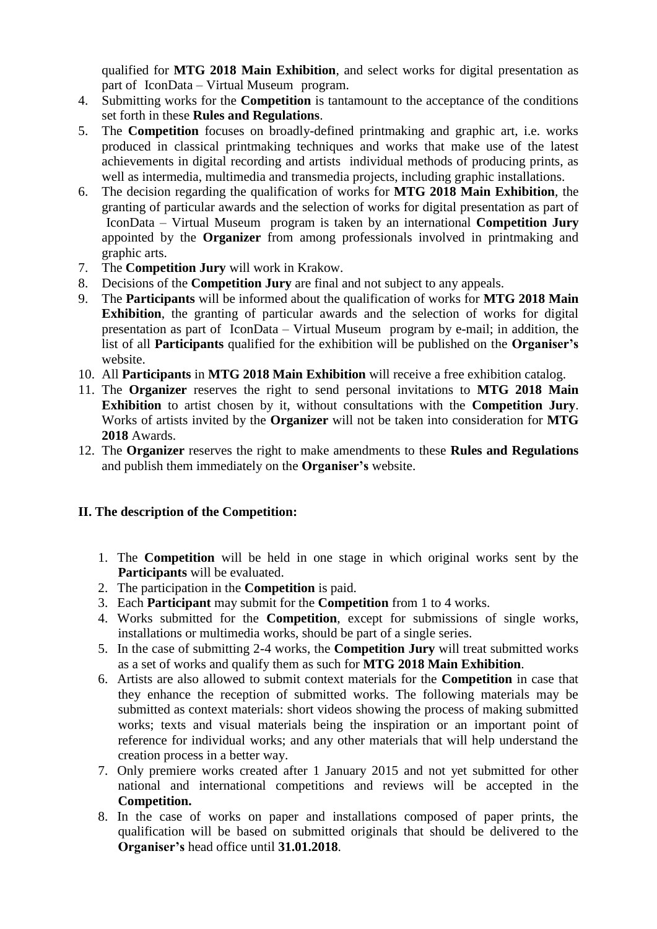qualified for **MTG 2018 Main Exhibition**, and select works for digital presentation as part of IconData – Virtual Museum program.

- 4. Submitting works for the **Competition** is tantamount to the acceptance of the conditions set forth in these **Rules and Regulations**.
- 5. The **Competition** focuses on broadly-defined printmaking and graphic art, i.e. works produced in classical printmaking techniques and works that make use of the latest achievements in digital recording and artists individual methods of producing prints, as well as intermedia, multimedia and transmedia projects, including graphic installations.
- 6. The decision regarding the qualification of works for **MTG 2018 Main Exhibition**, the granting of particular awards and the selection of works for digital presentation as part of IconData – Virtual Museum program is taken by an international **Competition Jury**  appointed by the **Organizer** from among professionals involved in printmaking and graphic arts.
- 7. The **Competition Jury** will work in Krakow.
- 8. Decisions of the **Competition Jury** are final and not subject to any appeals.
- 9. The **Participants** will be informed about the qualification of works for **MTG 2018 Main Exhibition**, the granting of particular awards and the selection of works for digital presentation as part of IconData – Virtual Museum program by e-mail; in addition, the list of all **Participants** qualified for the exhibition will be published on the **Organiser's** website.
- 10. All **Participants** in **MTG 2018 Main Exhibition** will receive a free exhibition catalog.
- 11. The **Organizer** reserves the right to send personal invitations to **MTG 2018 Main Exhibition** to artist chosen by it, without consultations with the **Competition Jury**. Works of artists invited by the **Organizer** will not be taken into consideration for **MTG 2018** Awards.
- 12. The **Organizer** reserves the right to make amendments to these **Rules and Regulations**  and publish them immediately on the **Organiser's** website.

# **II. The description of the Competition:**

- 1. The **Competition** will be held in one stage in which original works sent by the **Participants** will be evaluated.
- 2. The participation in the **Competition** is paid.
- 3. Each **Participant** may submit for the **Competition** from 1 to 4 works.
- 4. Works submitted for the **Competition**, except for submissions of single works, installations or multimedia works, should be part of a single series.
- 5. In the case of submitting 2-4 works, the **Competition Jury** will treat submitted works as a set of works and qualify them as such for **MTG 2018 Main Exhibition**.
- 6. Artists are also allowed to submit context materials for the **Competition** in case that they enhance the reception of submitted works. The following materials may be submitted as context materials: short videos showing the process of making submitted works; texts and visual materials being the inspiration or an important point of reference for individual works; and any other materials that will help understand the creation process in a better way.
- 7. Only premiere works created after 1 January 2015 and not yet submitted for other national and international competitions and reviews will be accepted in the **Competition.**
- 8. In the case of works on paper and installations composed of paper prints, the qualification will be based on submitted originals that should be delivered to the **Organiser's** head office until **31.01.2018**.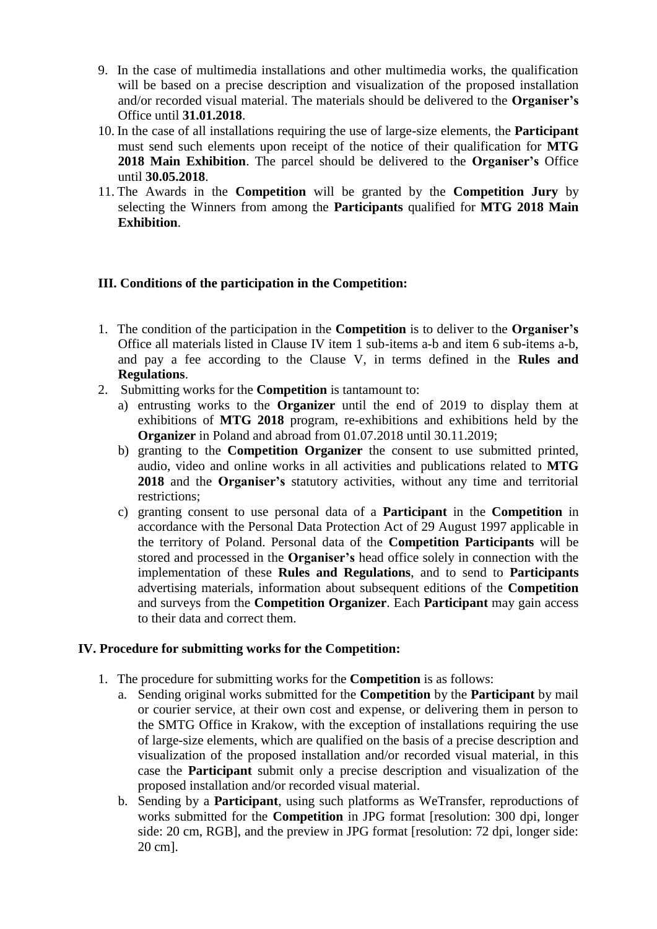- 9. In the case of multimedia installations and other multimedia works, the qualification will be based on a precise description and visualization of the proposed installation and/or recorded visual material. The materials should be delivered to the **Organiser's** Office until **31.01.2018**.
- 10. In the case of all installations requiring the use of large-size elements, the **Participant**  must send such elements upon receipt of the notice of their qualification for **MTG 2018 Main Exhibition**. The parcel should be delivered to the **Organiser's** Office until **30.05.2018**.
- 11. The Awards in the **Competition** will be granted by the **Competition Jury** by selecting the Winners from among the **Participants** qualified for **MTG 2018 Main Exhibition**.

# **III. Conditions of the participation in the Competition:**

- 1. The condition of the participation in the **Competition** is to deliver to the **Organiser's** Office all materials listed in Clause IV item 1 sub-items a-b and item 6 sub-items a-b, and pay a fee according to the Clause V, in terms defined in the **Rules and Regulations**.
- 2. Submitting works for the **Competition** is tantamount to:
	- a) entrusting works to the **Organizer** until the end of 2019 to display them at exhibitions of **MTG 2018** program, re-exhibitions and exhibitions held by the **Organizer** in Poland and abroad from 01.07.2018 until 30.11.2019;
	- b) granting to the **Competition Organizer** the consent to use submitted printed, audio, video and online works in all activities and publications related to **MTG 2018** and the **Organiser's** statutory activities, without any time and territorial restrictions;
	- c) granting consent to use personal data of a **Participant** in the **Competition** in accordance with the Personal Data Protection Act of 29 August 1997 applicable in the territory of Poland. Personal data of the **Competition Participants** will be stored and processed in the **Organiser's** head office solely in connection with the implementation of these **Rules and Regulations**, and to send to **Participants** advertising materials, information about subsequent editions of the **Competition** and surveys from the **Competition Organizer**. Each **Participant** may gain access to their data and correct them.

### **IV. Procedure for submitting works for the Competition:**

- 1. The procedure for submitting works for the **Competition** is as follows:
	- a. Sending original works submitted for the **Competition** by the **Participant** by mail or courier service, at their own cost and expense, or delivering them in person to the SMTG Office in Krakow, with the exception of installations requiring the use of large-size elements, which are qualified on the basis of a precise description and visualization of the proposed installation and/or recorded visual material, in this case the **Participant** submit only a precise description and visualization of the proposed installation and/or recorded visual material.
	- b. Sending by a **Participant**, using such platforms as WeTransfer, reproductions of works submitted for the **Competition** in JPG format [resolution: 300 dpi, longer side: 20 cm, RGB], and the preview in JPG format [resolution: 72 dpi, longer side: 20 cm].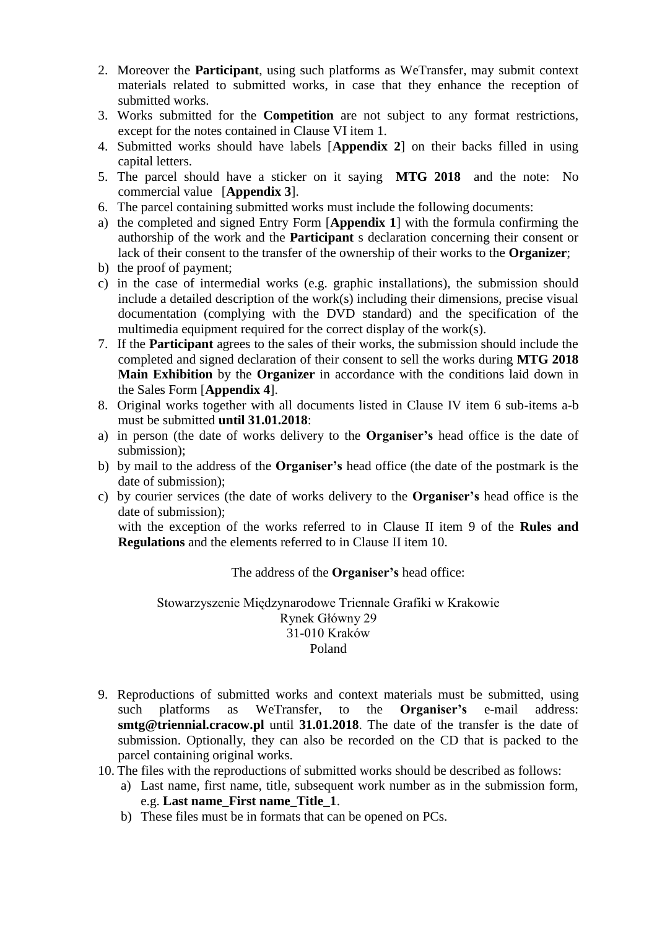- 2. Moreover the **Participant**, using such platforms as WeTransfer, may submit context materials related to submitted works, in case that they enhance the reception of submitted works.
- 3. Works submitted for the **Competition** are not subject to any format restrictions, except for the notes contained in Clause VI item 1.
- 4. Submitted works should have labels [**Appendix 2**] on their backs filled in using capital letters.
- 5. The parcel should have a sticker on it saying **MTG 2018** and the note: No commercial value [**Appendix 3**].
- 6. The parcel containing submitted works must include the following documents:
- a) the completed and signed Entry Form [**Appendix 1**] with the formula confirming the authorship of the work and the **Participant** s declaration concerning their consent or lack of their consent to the transfer of the ownership of their works to the **Organizer**;
- b) the proof of payment;
- c) in the case of intermedial works (e.g. graphic installations), the submission should include a detailed description of the work(s) including their dimensions, precise visual documentation (complying with the DVD standard) and the specification of the multimedia equipment required for the correct display of the work(s).
- 7. If the **Participant** agrees to the sales of their works, the submission should include the completed and signed declaration of their consent to sell the works during **MTG 2018 Main Exhibition** by the **Organizer** in accordance with the conditions laid down in the Sales Form [**Appendix 4**].
- 8. Original works together with all documents listed in Clause IV item 6 sub-items a-b must be submitted **until 31.01.2018**:
- a) in person (the date of works delivery to the **Organiser's** head office is the date of submission);
- b) by mail to the address of the **Organiser's** head office (the date of the postmark is the date of submission);
- c) by courier services (the date of works delivery to the **Organiser's** head office is the date of submission);

with the exception of the works referred to in Clause II item 9 of the **Rules and Regulations** and the elements referred to in Clause II item 10.

### The address of the **Organiser's** head office:

Stowarzyszenie Międzynarodowe Triennale Grafiki w Krakowie Rynek Główny 29 31-010 Kraków Poland

- 9. Reproductions of submitted works and context materials must be submitted, using such platforms as WeTransfer, to the **Organiser's** e-mail address: **smtg@triennial.cracow.pl** until **31.01.2018**. The date of the transfer is the date of submission. Optionally, they can also be recorded on the CD that is packed to the parcel containing original works.
- 10. The files with the reproductions of submitted works should be described as follows:
	- a) Last name, first name, title, subsequent work number as in the submission form, e.g. **Last name\_First name\_Title\_1**.
	- b) These files must be in formats that can be opened on PCs.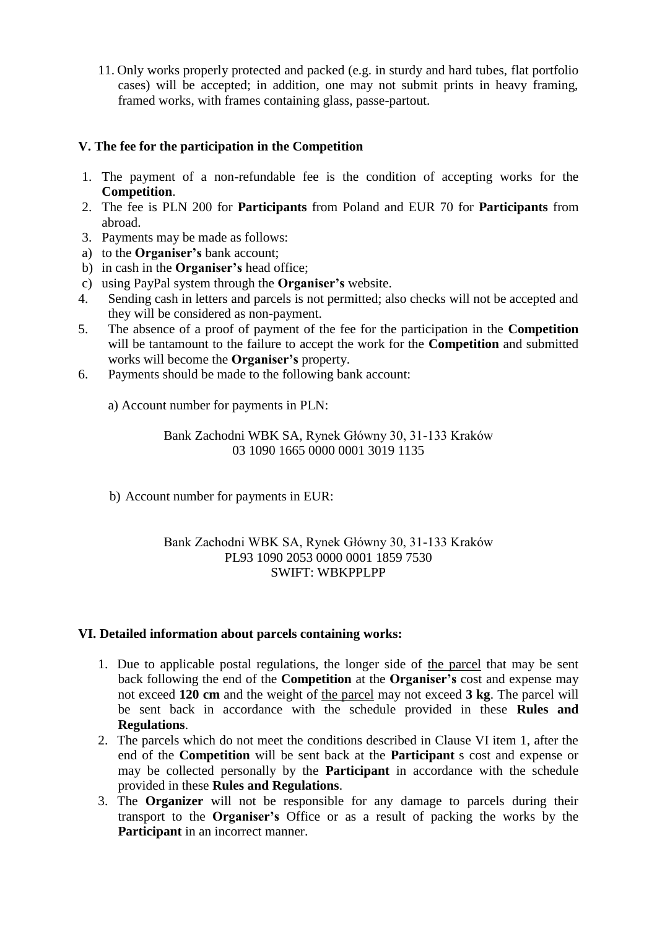11. Only works properly protected and packed (e.g. in sturdy and hard tubes, flat portfolio cases) will be accepted; in addition, one may not submit prints in heavy framing, framed works, with frames containing glass, passe-partout.

# **V. The fee for the participation in the Competition**

- 1. The payment of a non-refundable fee is the condition of accepting works for the **Competition**.
- 2. The fee is PLN 200 for **Participants** from Poland and EUR 70 for **Participants** from abroad.
- 3. Payments may be made as follows:
- a) to the **Organiser's** bank account;
- b) in cash in the **Organiser's** head office;
- c) using PayPal system through the **Organiser's** website.
- 4. Sending cash in letters and parcels is not permitted; also checks will not be accepted and they will be considered as non-payment.
- 5. The absence of a proof of payment of the fee for the participation in the **Competition** will be tantamount to the failure to accept the work for the **Competition** and submitted works will become the **Organiser's** property.
- 6. Payments should be made to the following bank account:
	- a) Account number for payments in PLN:

Bank Zachodni WBK SA, Rynek Główny 30, 31-133 Kraków 03 1090 1665 0000 0001 3019 1135

b) Account number for payments in EUR:

### Bank Zachodni WBK SA, Rynek Główny 30, 31-133 Kraków PL93 1090 2053 0000 0001 1859 7530 SWIFT: WBKPPLPP

### **VI. Detailed information about parcels containing works:**

- 1. Due to applicable postal regulations, the longer side of the parcel that may be sent back following the end of the **Competition** at the **Organiser's** cost and expense may not exceed **120 cm** and the weight of the parcel may not exceed **3 kg**. The parcel will be sent back in accordance with the schedule provided in these **Rules and Regulations**.
- 2. The parcels which do not meet the conditions described in Clause VI item 1, after the end of the **Competition** will be sent back at the **Participant** s cost and expense or may be collected personally by the **Participant** in accordance with the schedule provided in these **Rules and Regulations**.
- 3. The **Organizer** will not be responsible for any damage to parcels during their transport to the **Organiser's** Office or as a result of packing the works by the **Participant** in an incorrect manner.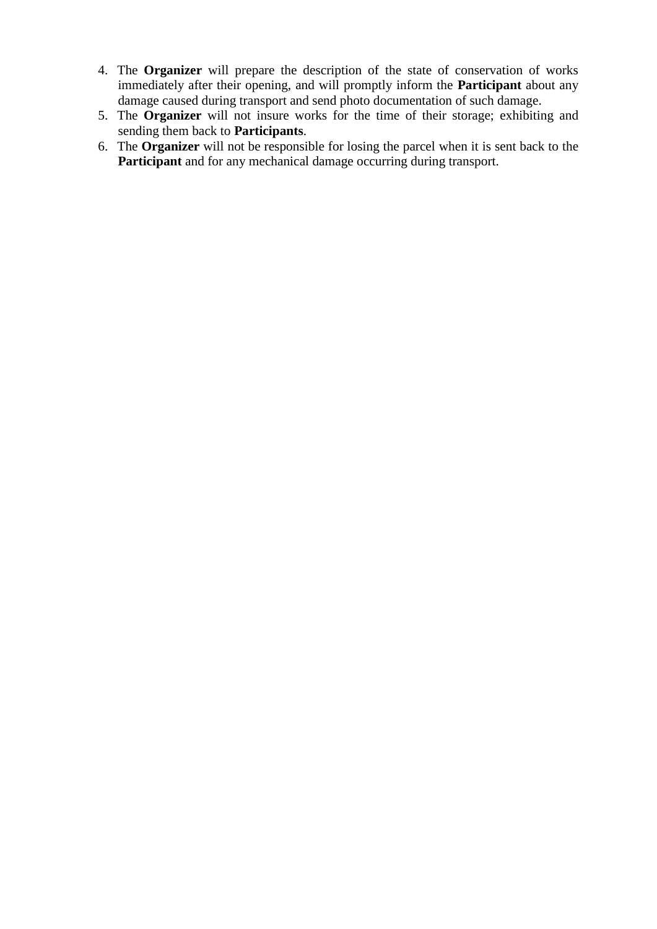- 4. The **Organizer** will prepare the description of the state of conservation of works immediately after their opening, and will promptly inform the **Participant** about any damage caused during transport and send photo documentation of such damage.
- 5. The **Organizer** will not insure works for the time of their storage; exhibiting and sending them back to **Participants**.
- 6. The **Organizer** will not be responsible for losing the parcel when it is sent back to the **Participant** and for any mechanical damage occurring during transport.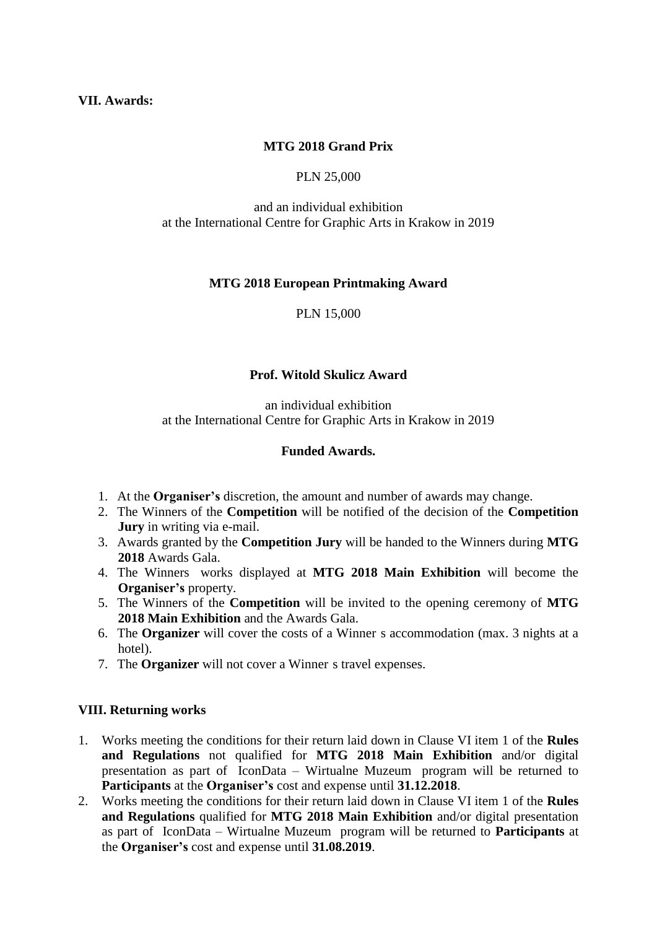### **VII. Awards:**

# **MTG 2018 Grand Prix**

### PLN 25,000

#### and an individual exhibition at the International Centre for Graphic Arts in Krakow in 2019

### **MTG 2018 European Printmaking Award**

PLN 15,000

### **Prof. Witold Skulicz Award**

an individual exhibition at the International Centre for Graphic Arts in Krakow in 2019

### **Funded Awards.**

- 1. At the **Organiser's** discretion, the amount and number of awards may change.
- 2. The Winners of the **Competition** will be notified of the decision of the **Competition Jury** in writing via e-mail.
- 3. Awards granted by the **Competition Jury** will be handed to the Winners during **MTG 2018** Awards Gala.
- 4. The Winners works displayed at **MTG 2018 Main Exhibition** will become the **Organiser's** property.
- 5. The Winners of the **Competition** will be invited to the opening ceremony of **MTG 2018 Main Exhibition** and the Awards Gala.
- 6. The **Organizer** will cover the costs of a Winner s accommodation (max. 3 nights at a hotel).
- 7. The **Organizer** will not cover a Winner s travel expenses.

### **VIII. Returning works**

- 1. Works meeting the conditions for their return laid down in Clause VI item 1 of the **Rules and Regulations** not qualified for **MTG 2018 Main Exhibition** and/or digital presentation as part of IconData – Wirtualne Muzeum program will be returned to **Participants** at the **Organiser's** cost and expense until **31.12.2018**.
- 2. Works meeting the conditions for their return laid down in Clause VI item 1 of the **Rules and Regulations** qualified for **MTG 2018 Main Exhibition** and/or digital presentation as part of IconData – Wirtualne Muzeum program will be returned to **Participants** at the **Organiser's** cost and expense until **31.08.2019**.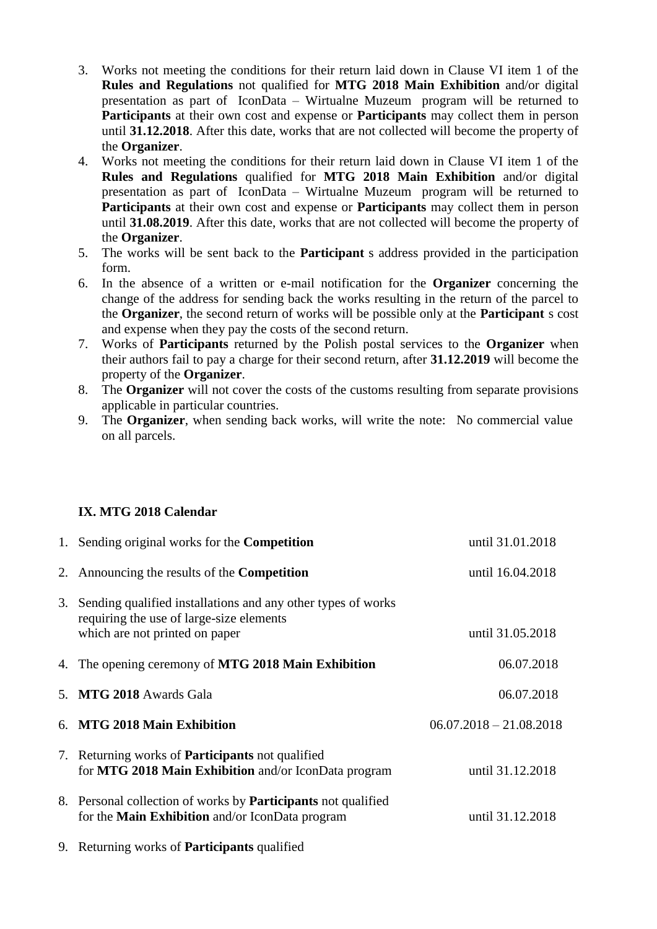- 3. Works not meeting the conditions for their return laid down in Clause VI item 1 of the **Rules and Regulations** not qualified for **MTG 2018 Main Exhibition** and/or digital presentation as part of IconData – Wirtualne Muzeum program will be returned to **Participants** at their own cost and expense or **Participants** may collect them in person until **31.12.2018**. After this date, works that are not collected will become the property of the **Organizer**.
- 4. Works not meeting the conditions for their return laid down in Clause VI item 1 of the **Rules and Regulations** qualified for **MTG 2018 Main Exhibition** and/or digital presentation as part of IconData – Wirtualne Muzeum program will be returned to **Participants** at their own cost and expense or **Participants** may collect them in person until **31.08.2019**. After this date, works that are not collected will become the property of the **Organizer**.
- 5. The works will be sent back to the **Participant** s address provided in the participation form.
- 6. In the absence of a written or e-mail notification for the **Organizer** concerning the change of the address for sending back the works resulting in the return of the parcel to the **Organizer**, the second return of works will be possible only at the **Participant** s cost and expense when they pay the costs of the second return.
- 7. Works of **Participants** returned by the Polish postal services to the **Organizer** when their authors fail to pay a charge for their second return, after **31.12.2019** will become the property of the **Organizer**.
- 8. The **Organizer** will not cover the costs of the customs resulting from separate provisions applicable in particular countries.
- 9. The **Organizer**, when sending back works, will write the note: No commercial value on all parcels.

# **IX. MTG 2018 Calendar**

| 1. Sending original works for the <b>Competition</b>                                                                                          | until 31.01.2018          |
|-----------------------------------------------------------------------------------------------------------------------------------------------|---------------------------|
| 2. Announcing the results of the <b>Competition</b>                                                                                           | until 16.04.2018          |
| 3. Sending qualified installations and any other types of works<br>requiring the use of large-size elements<br>which are not printed on paper | until 31.05.2018          |
| 4. The opening ceremony of MTG 2018 Main Exhibition                                                                                           | 06.07.2018                |
| 5. MTG 2018 Awards Gala                                                                                                                       | 06.07.2018                |
| 6. MTG 2018 Main Exhibition                                                                                                                   | $06.07.2018 - 21.08.2018$ |
| 7. Returning works of <b>Participants</b> not qualified<br>for MTG 2018 Main Exhibition and/or IconData program                               | until 31.12.2018          |
| 8. Personal collection of works by <b>Participants</b> not qualified<br>for the <b>Main Exhibition</b> and/or IconData program                | until 31.12.2018          |
| 9. Returning works of <b>Participants</b> qualified                                                                                           |                           |